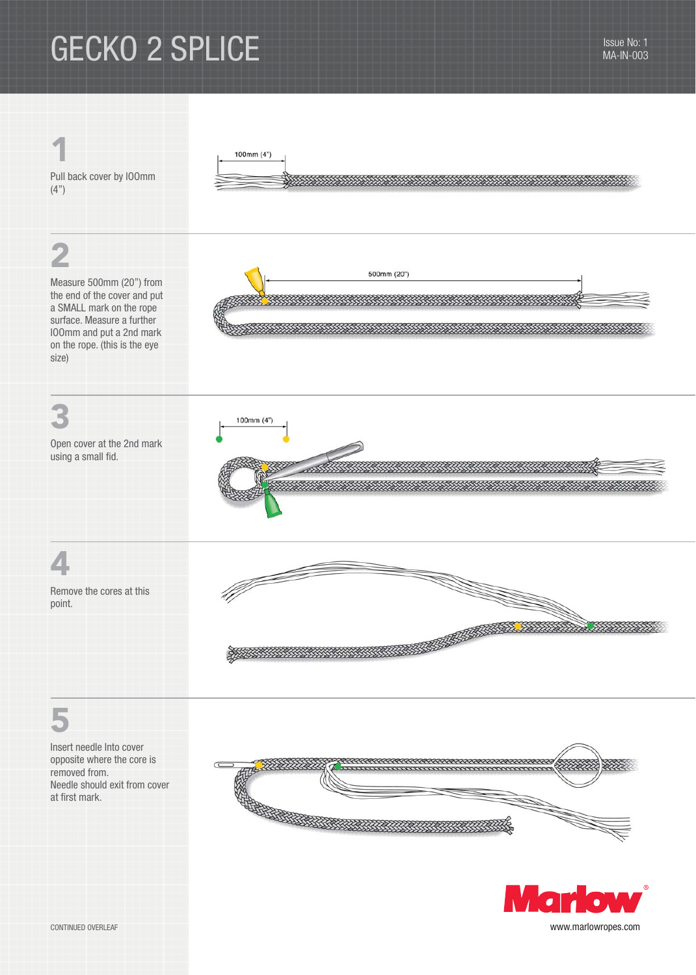# GECKO 2 SPLICE Issue No: 1





CONTINUED OVERLEAF www.marlowropes.com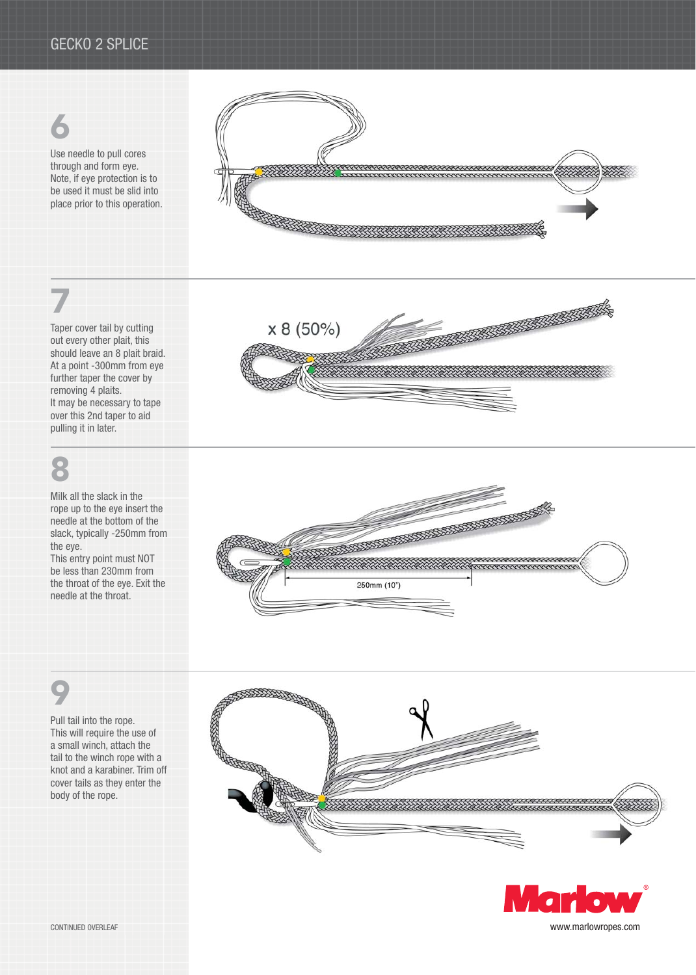## 6

Use needle to pull cores through and form eye. Note, if eye protection is to be used it must be slid into place prior to this operation.



# 7

Taper cover tail by cutting out every other plait, this should leave an 8 plait braid. At a point -300mm from eye further taper the cover by removing 4 plaits. It may be necessary to tape over this 2nd taper to aid pulling it in later.

# 8

Milk all the slack in the rope up to the eye insert the needle at the bottom of the slack, typically -250mm from the eye.

This entry point must NOT be less than 230mm from the throat of the eye. Exit the needle at the throat.









CONTINUED OVERLEAF www.marlowropes.com

## 9

Pull tail into the rope. This will require the use of a small winch, attach the tail to the winch rope with a knot and a karabiner. Trim off cover tails as they enter the body of the rope.